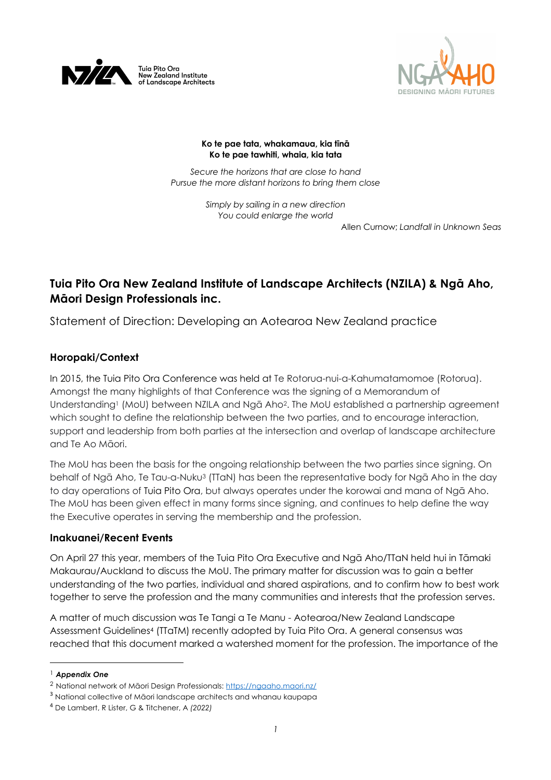



#### **Ko te pae tata, whakamaua, kia tīnā Ko te pae tawhiti, whaia, kia tata**

*Secure the horizons that are close to hand Pursue the more distant horizons to bring them close*

> *Simply by sailing in a new direction You could enlarge the world*

> > Allen Curnow; *Landfall in Unknown Seas*

# **Tuia Pito Ora New Zealand Institute of Landscape Architects (NZILA) & Ngā Aho, Māori Design Professionals inc.**

Statement of Direction: Developing an Aotearoa New Zealand practice

## **Horopaki/Context**

In 2015, the Tuia Pito Ora Conference was held at Te Rotorua-nui-a-Kahumatamomoe (Rotorua). Amongst the many highlights of that Conference was the signing of a Memorandum of Understanding<sup>1</sup> (MoU) between NZILA and Nga Aho<sup>2</sup>. The MoU established a partnership agreement which sought to define the relationship between the two parties, and to encourage interaction, support and leadership from both parties at the intersection and overlap of landscape architecture and Te Ao Māori.

The MoU has been the basis for the ongoing relationship between the two parties since signing. On behalf of Ngā Aho, Te Tau-a-Nuku<sup>3</sup> (TTaN) has been the representative body for Ngā Aho in the day to day operations of Tuia Pito Ora, but always operates under the korowai and mana of Ngā Aho. The MoU has been given effect in many forms since signing, and continues to help define the way the Executive operates in serving the membership and the profession.

### **Inakuanei/Recent Events**

On April 27 this year, members of the Tuia Pito Ora Executive and Ngā Aho/TTaN held hui in Tāmaki Makaurau/Auckland to discuss the MoU. The primary matter for discussion was to gain a better understanding of the two parties, individual and shared aspirations, and to confirm how to best work together to serve the profession and the many communities and interests that the profession serves.

A matter of much discussion was Te Tangi a Te Manu - Aotearoa/New Zealand Landscape Assessment Guidelines4 (TTaTM) recently adopted by Tuia Pito Ora. A general consensus was reached that this document marked a watershed moment for the profession. The importance of the

<sup>1</sup> *Appendix One*

<sup>2</sup> National network of Māori Design Professionals: https://ngaaho.maori.nz/

<sup>3</sup> National collective of Māori landscape architects and whanau kaupapa

<sup>4</sup> De Lambert, R Lister, G & Titchener, A *(2022)*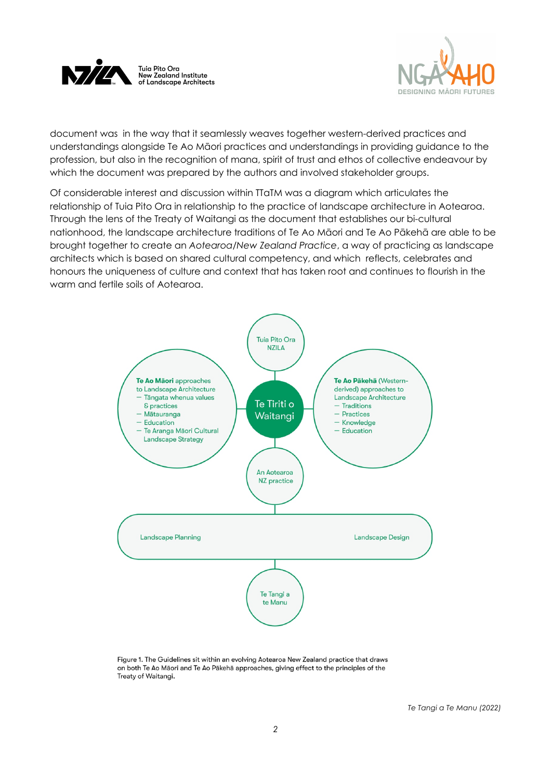



document was in the way that it seamlessly weaves together western-derived practices and understandings alongside Te Ao Māori practices and understandings in providing guidance to the profession, but also in the recognition of mana, spirit of trust and ethos of collective endeavour by which the document was prepared by the authors and involved stakeholder groups.

Of considerable interest and discussion within TTaTM was a diagram which articulates the relationship of Tuia Pito Ora in relationship to the practice of landscape architecture in Aotearoa. Through the lens of the Treaty of Waitangi as the document that establishes our bi-cultural nationhood, the landscape architecture traditions of Te Ao Māori and Te Ao Pākehā are able to be brought together to create an *Aotearoa/New Zealand Practice*, a way of practicing as landscape architects which is based on shared cultural competency, and which reflects, celebrates and honours the uniqueness of culture and context that has taken root and continues to flourish in the warm and fertile soils of Aotearoa.



Figure 1. The Guidelines sit within an evolving Aotearoa New Zealand practice that draws on both Te Ao Māori and Te Ao Pākehā approaches, giving effect to the principles of the Treaty of Waitangi.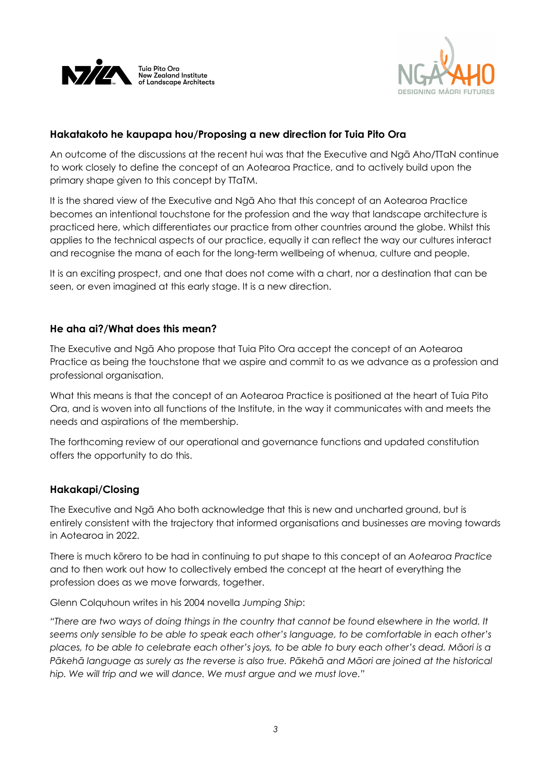



## **Hakatakoto he kaupapa hou/Proposing a new direction for Tuia Pito Ora**

An outcome of the discussions at the recent hui was that the Executive and Ngā Aho/TTaN continue to work closely to define the concept of an Aotearoa Practice, and to actively build upon the primary shape given to this concept by TTaTM.

It is the shared view of the Executive and Ngā Aho that this concept of an Aotearoa Practice becomes an intentional touchstone for the profession and the way that landscape architecture is practiced here, which differentiates our practice from other countries around the globe. Whilst this applies to the technical aspects of our practice, equally it can reflect the way our cultures interact and recognise the mana of each for the long-term wellbeing of whenua, culture and people.

It is an exciting prospect, and one that does not come with a chart, nor a destination that can be seen, or even imagined at this early stage. It is a new direction.

## **He aha ai?/What does this mean?**

The Executive and Ngā Aho propose that Tuia Pito Ora accept the concept of an Aotearoa Practice as being the touchstone that we aspire and commit to as we advance as a profession and professional organisation.

What this means is that the concept of an Aotearoa Practice is positioned at the heart of Tuia Pito Ora, and is woven into all functions of the Institute, in the way it communicates with and meets the needs and aspirations of the membership.

The forthcoming review of our operational and governance functions and updated constitution offers the opportunity to do this.

## **Hakakapi/Closing**

The Executive and Ngā Aho both acknowledge that this is new and uncharted ground, but is entirely consistent with the trajectory that informed organisations and businesses are moving towards in Aotearoa in 2022.

There is much kōrero to be had in continuing to put shape to this concept of an *Aotearoa Practice* and to then work out how to collectively embed the concept at the heart of everything the profession does as we move forwards, together.

Glenn Colquhoun writes in his 2004 novella *Jumping Ship*:

*"There are two ways of doing things in the country that cannot be found elsewhere in the world. It seems only sensible to be able to speak each other's language, to be comfortable in each other's places, to be able to celebrate each other's joys, to be able to bury each other's dead. Māori is a Pākehā language as surely as the reverse is also true. Pākehā and Māori are joined at the historical hip. We will trip and we will dance. We must argue and we must love."*